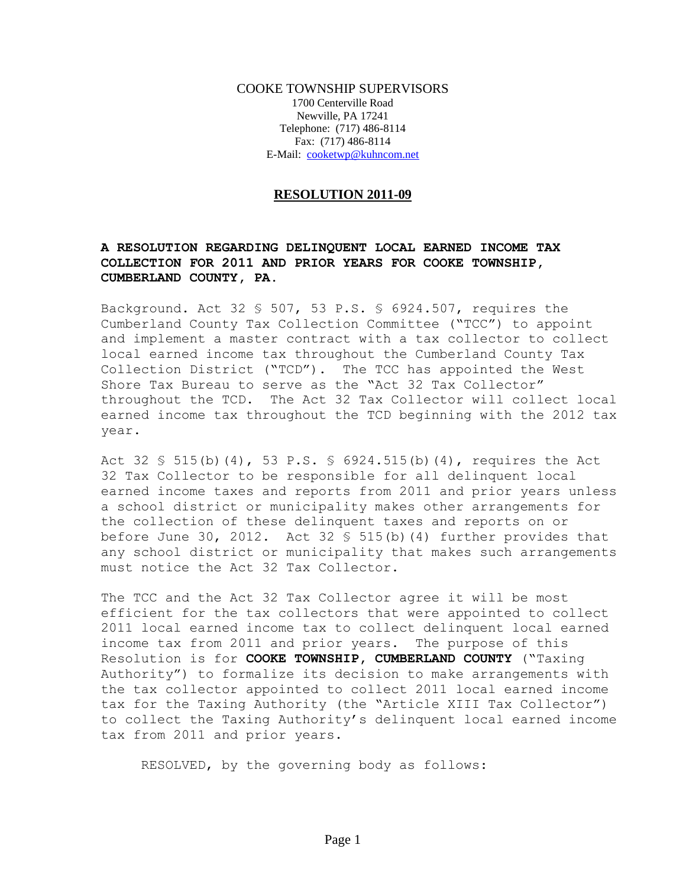COOKE TOWNSHIP SUPERVISORS 1700 Centerville Road Newville, PA 17241 Telephone: (717) 486-8114 Fax: (717) 486-8114 E-Mail: [cooketwp@kuhncom.net](mailto:cooketwp@kuhncom.net)

## **RESOLUTION 2011-09**

## **A RESOLUTION REGARDING DELINQUENT LOCAL EARNED INCOME TAX COLLECTION FOR 2011 AND PRIOR YEARS FOR COOKE TOWNSHIP, CUMBERLAND COUNTY, PA.**

Background. Act 32 § 507, 53 P.S. § 6924.507, requires the Cumberland County Tax Collection Committee ("TCC") to appoint and implement a master contract with a tax collector to collect local earned income tax throughout the Cumberland County Tax Collection District ("TCD"). The TCC has appointed the West Shore Tax Bureau to serve as the "Act 32 Tax Collector" throughout the TCD. The Act 32 Tax Collector will collect local earned income tax throughout the TCD beginning with the 2012 tax year.

Act 32 § 515(b)(4), 53 P.S. § 6924.515(b)(4), requires the Act 32 Tax Collector to be responsible for all delinquent local earned income taxes and reports from 2011 and prior years unless a school district or municipality makes other arrangements for the collection of these delinquent taxes and reports on or before June 30, 2012. Act 32  $\frac{1}{5}$  515(b)(4) further provides that any school district or municipality that makes such arrangements must notice the Act 32 Tax Collector.

The TCC and the Act 32 Tax Collector agree it will be most efficient for the tax collectors that were appointed to collect 2011 local earned income tax to collect delinquent local earned income tax from 2011 and prior years. The purpose of this Resolution is for **COOKE TOWNSHIP, CUMBERLAND COUNTY** ("Taxing Authority") to formalize its decision to make arrangements with the tax collector appointed to collect 2011 local earned income tax for the Taxing Authority (the "Article XIII Tax Collector") to collect the Taxing Authority's delinquent local earned income tax from 2011 and prior years.

RESOLVED, by the governing body as follows: